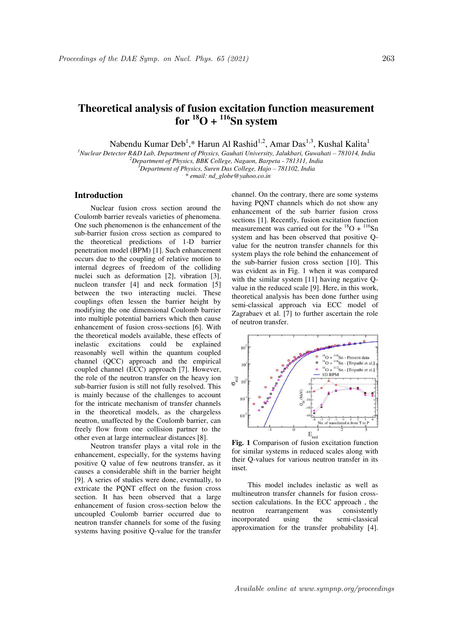# **Theoretical analysis of fusion excitation function measurement**   $$

Nabendu Kumar Deb<sup>1</sup>,\* Harun Al Rashid<sup>1,2</sup>, Amar Das<sup>1,3</sup>, Kushal Kalita<sup>1</sup>

<sup>1</sup>*Nuclear Detector R&D Lab, Department of Physics, Gauhati University, Jalukbari, Guwahati - 781014, India <sup>2</sup>Department of Physics, BBK College, Nagaon, Barpeta - 781311, India* 

*<sup>3</sup>Department of Physics, Suren Das College, Hajo – 781102, India* 

*. \* email: nd\_globe@yahoo.co.in* 

# **Introduction**

Nuclear fusion cross section around the Coulomb barrier reveals varieties of phenomena. One such phenomenon is the enhancement of the sub-barrier fusion cross section as compared to the theoretical predictions of 1-D barrier penetration model (BPM) [1]. Such enhancement occurs due to the coupling of relative motion to internal degrees of freedom of the colliding nuclei such as deformation [2], vibration [3], nucleon transfer [4] and neck formation [5] between the two interacting nuclei. These couplings often lessen the barrier height by modifying the one dimensional Coulomb barrier into multiple potential barriers which then cause enhancement of fusion cross-sections [6]. With the theoretical models available, these effects of inelastic excitations could be explained reasonably well within the quantum coupled channel (QCC) approach and the empirical coupled channel (ECC) approach [7]. However, the role of the neutron transfer on the heavy ion sub-barrier fusion is still not fully resolved. This is mainly because of the challenges to account for the intricate mechanism of transfer channels in the theoretical models, as the chargeless neutron, unaffected by the Coulomb barrier, can freely flow from one collision partner to the other even at large internuclear distances [8].

Neutron transfer plays a vital role in the enhancement, especially, for the systems having positive Q value of few neutrons transfer, as it causes a considerable shift in the barrier height [9]. A series of studies were done, eventually, to extricate the PQNT effect on the fusion cross section. It has been observed that a large enhancement of fusion cross-section below the uncoupled Coulomb barrier occurred due to neutron transfer channels for some of the fusing systems having positive Q-value for the transfer channel. On the contrary, there are some systems having PQNT channels which do not show any enhancement of the sub barrier fusion cross sections [1]. Recently, fusion excitation function measurement was carried out for the  $^{18}O + ^{116}Sn$ system and has been observed that positive Qvalue for the neutron transfer channels for this system plays the role behind the enhancement of the sub-barrier fusion cross section [10]. This was evident as in Fig. 1 when it was compared with the similar system [11] having negative Ovalue in the reduced scale [9]. Here, in this work, theoretical analysis has been done further using semi-classical approach via ECC model of Zagrabaev et al. [7] to further ascertain the role of neutron transfer.



for similar systems in reduced scales along with their Q-values for various neutron transfer in its inset.

This model includes inelastic as well as multineutron transfer channels for fusion crosssection calculations. In the ECC approach , the neutron rearrangement was consistently incorporated using the semi-classical approximation for the transfer probability [4].